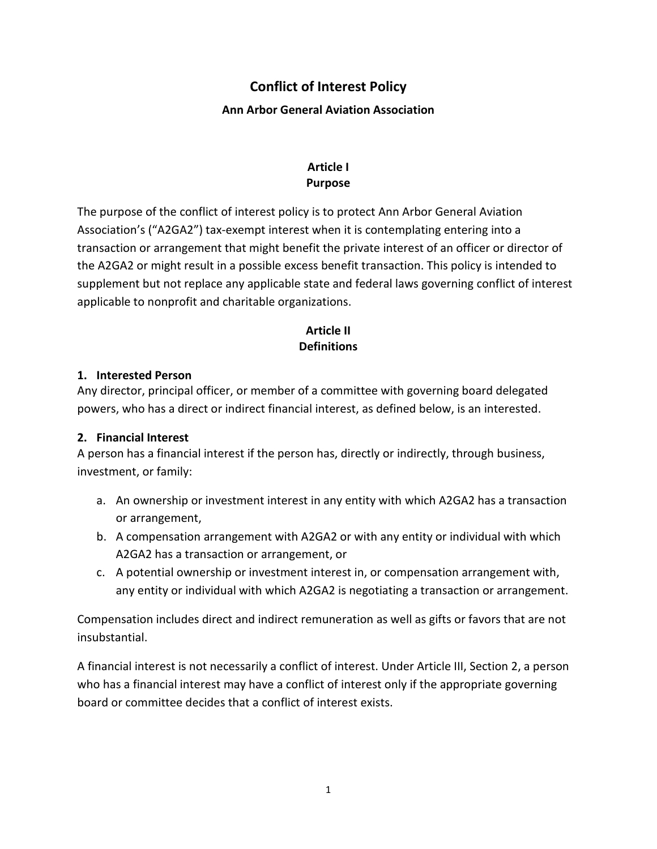# **Conflict of Interest Policy**

#### **Ann Arbor General Aviation Association**

#### **Article I Purpose**

The purpose of the conflict of interest policy is to protect Ann Arbor General Aviation Association's ("A2GA2") tax-exempt interest when it is contemplating entering into a transaction or arrangement that might benefit the private interest of an officer or director of the A2GA2 or might result in a possible excess benefit transaction. This policy is intended to supplement but not replace any applicable state and federal laws governing conflict of interest applicable to nonprofit and charitable organizations.

#### **Article II Definitions**

#### **1. Interested Person**

Any director, principal officer, or member of a committee with governing board delegated powers, who has a direct or indirect financial interest, as defined below, is an interested.

#### **2. Financial Interest**

A person has a financial interest if the person has, directly or indirectly, through business, investment, or family:

- a. An ownership or investment interest in any entity with which A2GA2 has a transaction or arrangement,
- b. A compensation arrangement with A2GA2 or with any entity or individual with which A2GA2 has a transaction or arrangement, or
- c. A potential ownership or investment interest in, or compensation arrangement with, any entity or individual with which A2GA2 is negotiating a transaction or arrangement.

Compensation includes direct and indirect remuneration as well as gifts or favors that are not insubstantial.

A financial interest is not necessarily a conflict of interest. Under Article III, Section 2, a person who has a financial interest may have a conflict of interest only if the appropriate governing board or committee decides that a conflict of interest exists.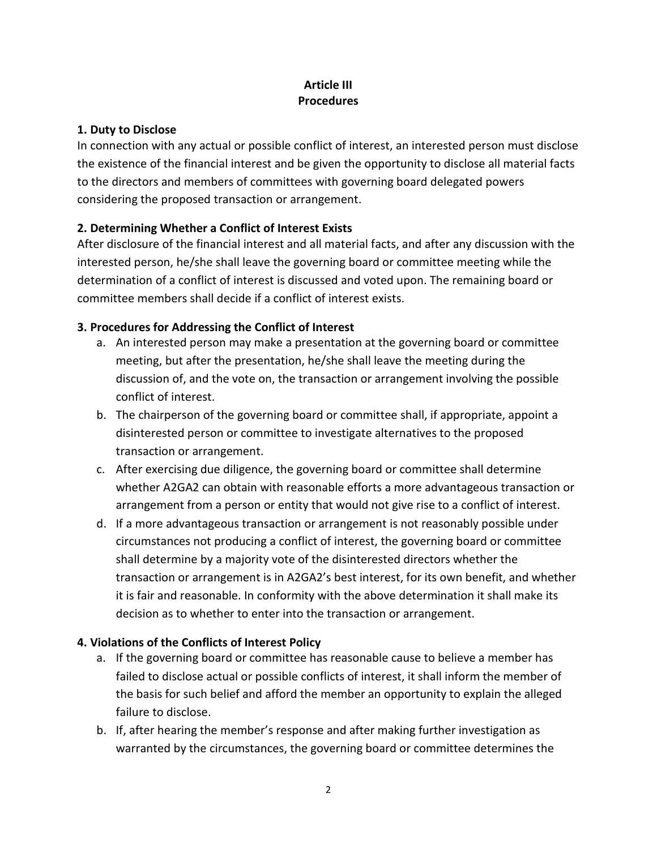#### **Article III Procedures**

#### **1. Duty to Disclose**

In connection with any actual or possible conflict of interest, an interested person must disclose the existence of the financial interest and be given the opportunity to disclose all material facts to the directors and members of committees with governing board delegated powers considering the proposed transaction or arrangement.

# **2. Determining Whether a Conflict of Interest Exists**

After disclosure of the financial interest and all material facts, and after any discussion with the interested person, he/she shall leave the governing board or committee meeting while the determination of a conflict of interest is discussed and voted upon. The remaining board or committee members shall decide if a conflict of interest exists.

# **3. Procedures for Addressing the Conflict of Interest**

- a. An interested person may make a presentation at the governing board or committee meeting, but after the presentation, he/she shall leave the meeting during the discussion of, and the vote on, the transaction or arrangement involving the possible conflict of interest.
- b. The chairperson of the governing board or committee shall, if appropriate, appoint a disinterested person or committee to investigate alternatives to the proposed transaction or arrangement.
- c. After exercising due diligence, the governing board or committee shall determine whether A2GA2 can obtain with reasonable efforts a more advantageous transaction or arrangement from a person or entity that would not give rise to a conflict of interest.
- d. If a more advantageous transaction or arrangement is not reasonably possible under circumstances not producing a conflict of interest, the governing board or committee shall determine by a majority vote of the disinterested directors whether the transaction or arrangement is in A2GA2's best interest, for its own benefit, and whether it is fair and reasonable. In conformity with the above determination it shall make its decision as to whether to enter into the transaction or arrangement.

# **4. Violations of the Conflicts of Interest Policy**

- a. If the governing board or committee has reasonable cause to believe a member has failed to disclose actual or possible conflicts of interest, it shall inform the member of the basis for such belief and afford the member an opportunity to explain the alleged failure to disclose.
- b. If, after hearing the member's response and after making further investigation as warranted by the circumstances, the governing board or committee determines the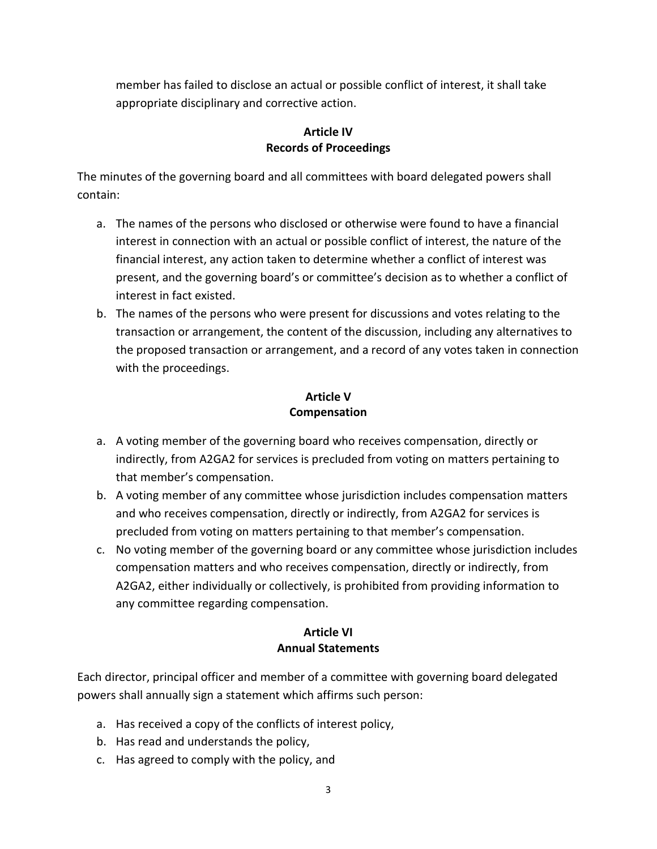member has failed to disclose an actual or possible conflict of interest, it shall take appropriate disciplinary and corrective action.

# **Article IV Records of Proceedings**

The minutes of the governing board and all committees with board delegated powers shall contain:

- a. The names of the persons who disclosed or otherwise were found to have a financial interest in connection with an actual or possible conflict of interest, the nature of the financial interest, any action taken to determine whether a conflict of interest was present, and the governing board's or committee's decision as to whether a conflict of interest in fact existed.
- b. The names of the persons who were present for discussions and votes relating to the transaction or arrangement, the content of the discussion, including any alternatives to the proposed transaction or arrangement, and a record of any votes taken in connection with the proceedings.

#### **Article V Compensation**

- a. A voting member of the governing board who receives compensation, directly or indirectly, from A2GA2 for services is precluded from voting on matters pertaining to that member's compensation.
- b. A voting member of any committee whose jurisdiction includes compensation matters and who receives compensation, directly or indirectly, from A2GA2 for services is precluded from voting on matters pertaining to that member's compensation.
- c. No voting member of the governing board or any committee whose jurisdiction includes compensation matters and who receives compensation, directly or indirectly, from A2GA2, either individually or collectively, is prohibited from providing information to any committee regarding compensation.

# **Article VI Annual Statements**

Each director, principal officer and member of a committee with governing board delegated powers shall annually sign a statement which affirms such person:

- a. Has received a copy of the conflicts of interest policy,
- b. Has read and understands the policy,
- c. Has agreed to comply with the policy, and